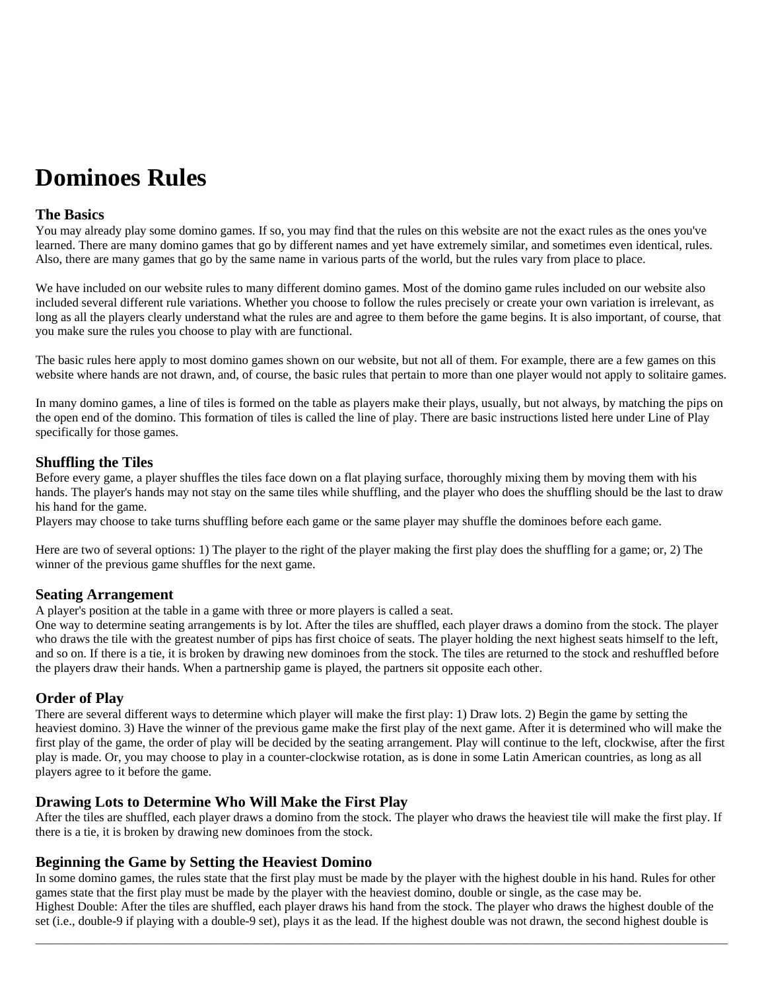# **Dominoes Rules**

## **The Basics**

You may already play some domino games. If so, you may find that the rules on this website are not the exact rules as the ones you've learned. There are many domino games that go by different names and yet have extremely similar, and sometimes even identical, rules. Also, there are many games that go by the same name in various parts of the world, but the rules vary from place to place.

We have included on our website rules to many different domino games. Most of the domino game rules included on our website also included several different rule variations. Whether you choose to follow the rules precisely or create your own variation is irrelevant, as long as all the players clearly understand what the rules are and agree to them before the game begins. It is also important, of course, that you make sure the rules you choose to play with are functional.

The basic rules here apply to most domino games shown on our website, but not all of them. For example, there are a few games on this website where hands are not drawn, and, of course, the basic rules that pertain to more than one player would not apply to solitaire games.

In many domino games, a line of tiles is formed on the table as players make their plays, usually, but not always, by matching the pips on the open end of the domino. This formation of tiles is called the line of play. There are basic instructions listed here under Line of Play specifically for those games.

## **Shuffling the Tiles**

Before every game, a player shuffles the tiles face down on a flat playing surface, thoroughly mixing them by moving them with his hands. The player's hands may not stay on the same tiles while shuffling, and the player who does the shuffling should be the last to draw his hand for the game.

Players may choose to take turns shuffling before each game or the same player may shuffle the dominoes before each game.

Here are two of several options: 1) The player to the right of the player making the first play does the shuffling for a game; or, 2) The winner of the previous game shuffles for the next game.

#### **Seating Arrangement**

A player's position at the table in a game with three or more players is called a seat.

One way to determine seating arrangements is by lot. After the tiles are shuffled, each player draws a domino from the stock. The player who draws the tile with the greatest number of pips has first choice of seats. The player holding the next highest seats himself to the left, and so on. If there is a tie, it is broken by drawing new dominoes from the stock. The tiles are returned to the stock and reshuffled before the players draw their hands. When a partnership game is played, the partners sit opposite each other.

#### **Order of Play**

There are several different ways to determine which player will make the first play: 1) Draw lots. 2) Begin the game by setting the heaviest domino. 3) Have the winner of the previous game make the first play of the next game. After it is determined who will make the first play of the game, the order of play will be decided by the seating arrangement. Play will continue to the left, clockwise, after the first play is made. Or, you may choose to play in a counter-clockwise rotation, as is done in some Latin American countries, as long as all players agree to it before the game.

#### **Drawing Lots to Determine Who Will Make the First Play**

After the tiles are shuffled, each player draws a domino from the stock. The player who draws the heaviest tile will make the first play. If there is a tie, it is broken by drawing new dominoes from the stock.

#### **Beginning the Game by Setting the Heaviest Domino**

In some domino games, the rules state that the first play must be made by the player with the highest double in his hand. Rules for other games state that the first play must be made by the player with the heaviest domino, double or single, as the case may be. Highest Double: After the tiles are shuffled, each player draws his hand from the stock. The player who draws the highest double of the set (i.e., double-9 if playing with a double-9 set), plays it as the lead. If the highest double was not drawn, the second highest double is

 $\bot$  , and the set of the set of the set of the set of the set of the set of the set of the set of the set of the set of the set of the set of the set of the set of the set of the set of the set of the set of the set of t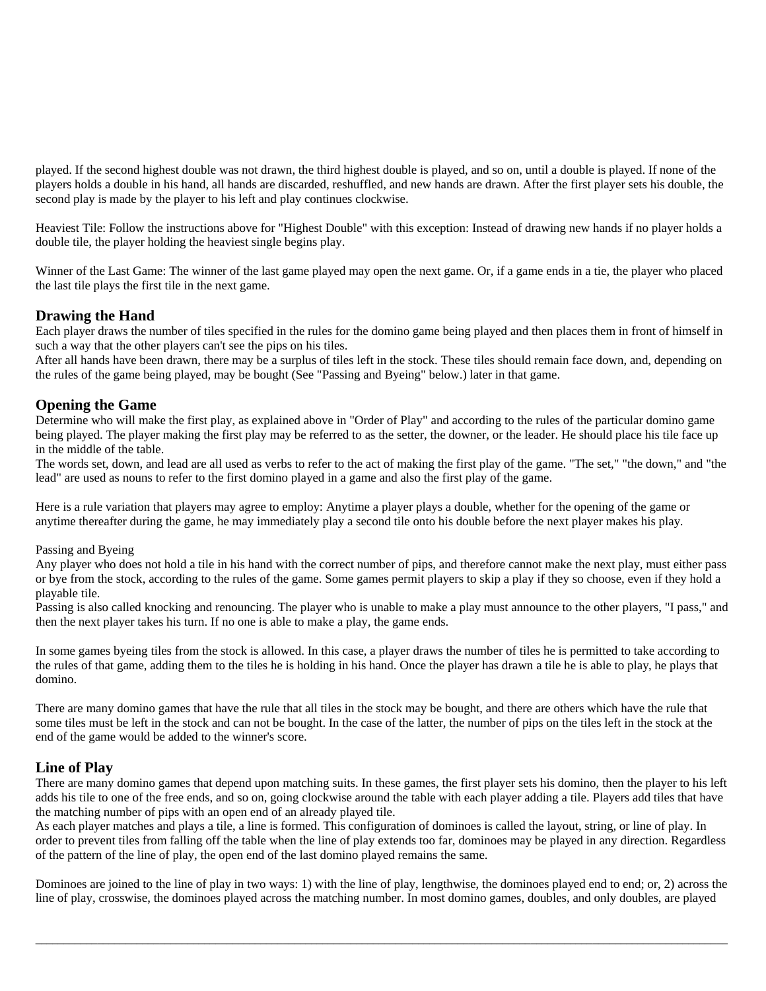played. If the second highest double was not drawn, the third highest double is played, and so on, until a double is played. If none of the players holds a double in his hand, all hands are discarded, reshuffled, and new hands are drawn. After the first player sets his double, the second play is made by the player to his left and play continues clockwise.

Heaviest Tile: Follow the instructions above for "Highest Double" with this exception: Instead of drawing new hands if no player holds a double tile, the player holding the heaviest single begins play.

Winner of the Last Game: The winner of the last game played may open the next game. Or, if a game ends in a tie, the player who placed the last tile plays the first tile in the next game.

## **Drawing the Hand**

Each player draws the number of tiles specified in the rules for the domino game being played and then places them in front of himself in such a way that the other players can't see the pips on his tiles.

After all hands have been drawn, there may be a surplus of tiles left in the stock. These tiles should remain face down, and, depending on the rules of the game being played, may be bought (See "Passing and Byeing" below.) later in that game.

## **Opening the Game**

Determine who will make the first play, as explained above in "Order of Play" and according to the rules of the particular domino game being played. The player making the first play may be referred to as the setter, the downer, or the leader. He should place his tile face up in the middle of the table.

The words set, down, and lead are all used as verbs to refer to the act of making the first play of the game. "The set," "the down," and "the lead" are used as nouns to refer to the first domino played in a game and also the first play of the game.

Here is a rule variation that players may agree to employ: Anytime a player plays a double, whether for the opening of the game or anytime thereafter during the game, he may immediately play a second tile onto his double before the next player makes his play.

#### Passing and Byeing

Any player who does not hold a tile in his hand with the correct number of pips, and therefore cannot make the next play, must either pass or bye from the stock, according to the rules of the game. Some games permit players to skip a play if they so choose, even if they hold a playable tile.

Passing is also called knocking and renouncing. The player who is unable to make a play must announce to the other players, "I pass," and then the next player takes his turn. If no one is able to make a play, the game ends.

In some games byeing tiles from the stock is allowed. In this case, a player draws the number of tiles he is permitted to take according to the rules of that game, adding them to the tiles he is holding in his hand. Once the player has drawn a tile he is able to play, he plays that domino.

There are many domino games that have the rule that all tiles in the stock may be bought, and there are others which have the rule that some tiles must be left in the stock and can not be bought. In the case of the latter, the number of pips on the tiles left in the stock at the end of the game would be added to the winner's score.

#### **Line of Play**

There are many domino games that depend upon matching suits. In these games, the first player sets his domino, then the player to his left adds his tile to one of the free ends, and so on, going clockwise around the table with each player adding a tile. Players add tiles that have the matching number of pips with an open end of an already played tile.

As each player matches and plays a tile, a line is formed. This configuration of dominoes is called the layout, string, or line of play. In order to prevent tiles from falling off the table when the line of play extends too far, dominoes may be played in any direction. Regardless of the pattern of the line of play, the open end of the last domino played remains the same.

Dominoes are joined to the line of play in two ways: 1) with the line of play, lengthwise, the dominoes played end to end; or, 2) across the line of play, crosswise, the dominoes played across the matching number. In most domino games, doubles, and only doubles, are played

 $\bot$  , and the set of the set of the set of the set of the set of the set of the set of the set of the set of the set of the set of the set of the set of the set of the set of the set of the set of the set of the set of t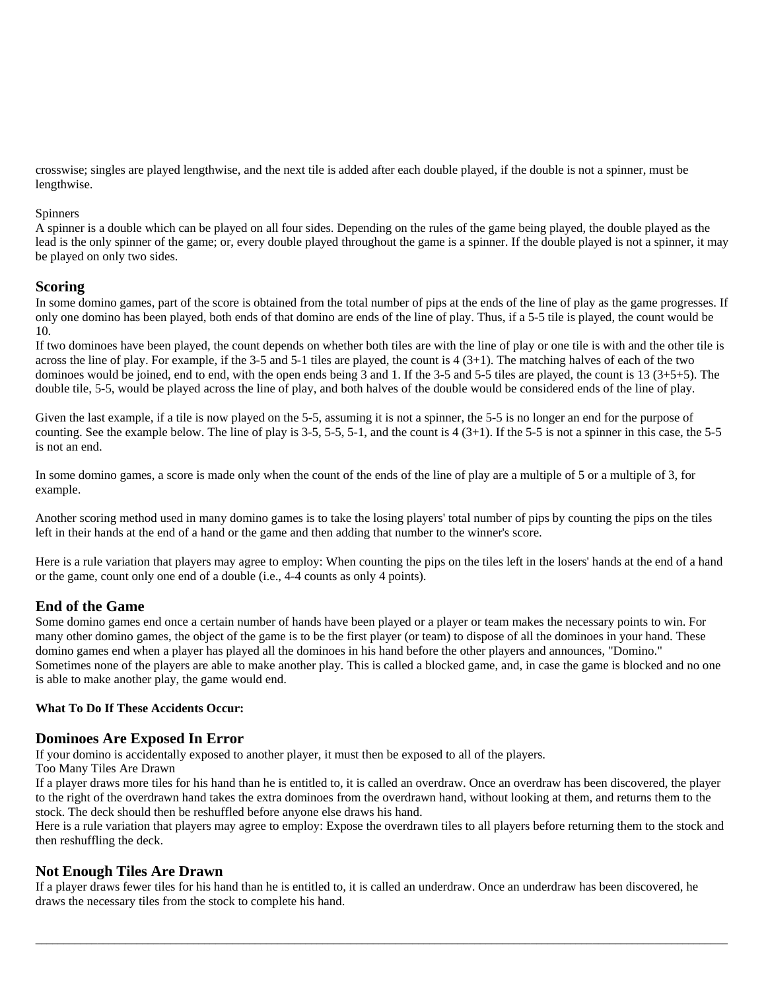crosswise; singles are played lengthwise, and the next tile is added after each double played, if the double is not a spinner, must be lengthwise.

#### Spinners

A spinner is a double which can be played on all four sides. Depending on the rules of the game being played, the double played as the lead is the only spinner of the game; or, every double played throughout the game is a spinner. If the double played is not a spinner, it may be played on only two sides.

#### **Scoring**

In some domino games, part of the score is obtained from the total number of pips at the ends of the line of play as the game progresses. If only one domino has been played, both ends of that domino are ends of the line of play. Thus, if a 5-5 tile is played, the count would be 10.

If two dominoes have been played, the count depends on whether both tiles are with the line of play or one tile is with and the other tile is across the line of play. For example, if the  $3-5$  and  $5-1$  tiles are played, the count is  $4(3+1)$ . The matching halves of each of the two dominoes would be joined, end to end, with the open ends being 3 and 1. If the 3-5 and 5-5 tiles are played, the count is 13 (3+5+5). The double tile, 5-5, would be played across the line of play, and both halves of the double would be considered ends of the line of play.

Given the last example, if a tile is now played on the 5-5, assuming it is not a spinner, the 5-5 is no longer an end for the purpose of counting. See the example below. The line of play is  $3-5$ ,  $5-5$ ,  $5-1$ , and the count is  $4(3+1)$ . If the  $5-5$  is not a spinner in this case, the  $5-5$ is not an end.

In some domino games, a score is made only when the count of the ends of the line of play are a multiple of 5 or a multiple of 3, for example.

Another scoring method used in many domino games is to take the losing players' total number of pips by counting the pips on the tiles left in their hands at the end of a hand or the game and then adding that number to the winner's score.

Here is a rule variation that players may agree to employ: When counting the pips on the tiles left in the losers' hands at the end of a hand or the game, count only one end of a double (i.e., 4-4 counts as only 4 points).

#### **End of the Game**

Some domino games end once a certain number of hands have been played or a player or team makes the necessary points to win. For many other domino games, the object of the game is to be the first player (or team) to dispose of all the dominoes in your hand. These domino games end when a player has played all the dominoes in his hand before the other players and announces, "Domino." Sometimes none of the players are able to make another play. This is called a blocked game, and, in case the game is blocked and no one is able to make another play, the game would end.

#### **What To Do If These Accidents Occur:**

#### **Dominoes Are Exposed In Error**

If your domino is accidentally exposed to another player, it must then be exposed to all of the players.

#### Too Many Tiles Are Drawn

If a player draws more tiles for his hand than he is entitled to, it is called an overdraw. Once an overdraw has been discovered, the player to the right of the overdrawn hand takes the extra dominoes from the overdrawn hand, without looking at them, and returns them to the stock. The deck should then be reshuffled before anyone else draws his hand.

Here is a rule variation that players may agree to employ: Expose the overdrawn tiles to all players before returning them to the stock and then reshuffling the deck.

 $\bot$  , and the set of the set of the set of the set of the set of the set of the set of the set of the set of the set of the set of the set of the set of the set of the set of the set of the set of the set of the set of t

#### **Not Enough Tiles Are Drawn**

If a player draws fewer tiles for his hand than he is entitled to, it is called an underdraw. Once an underdraw has been discovered, he draws the necessary tiles from the stock to complete his hand.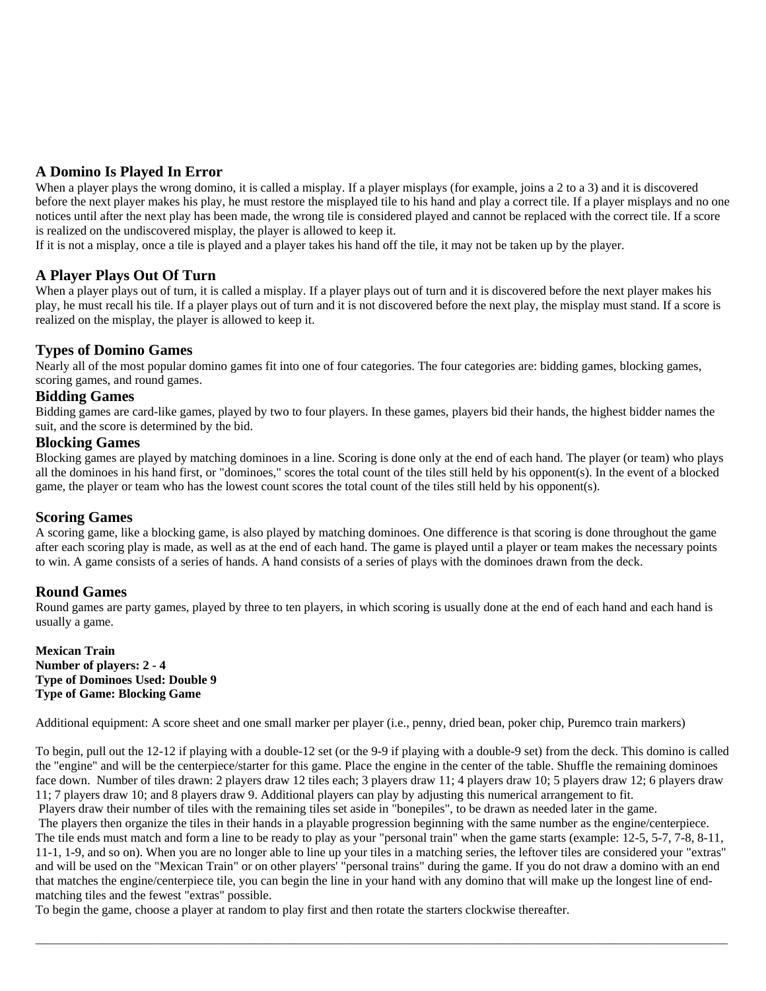## **A Domino Is Played In Error**

When a player plays the wrong domino, it is called a misplay. If a player misplays (for example, joins a 2 to a 3) and it is discovered before the next player makes his play, he must restore the misplayed tile to his hand and play a correct tile. If a player misplays and no one notices until after the next play has been made, the wrong tile is considered played and cannot be replaced with the correct tile. If a score is realized on the undiscovered misplay, the player is allowed to keep it.

If it is not a misplay, once a tile is played and a player takes his hand off the tile, it may not be taken up by the player.

## **A Player Plays Out Of Turn**

When a player plays out of turn, it is called a misplay. If a player plays out of turn and it is discovered before the next player makes his play, he must recall his tile. If a player plays out of turn and it is not discovered before the next play, the misplay must stand. If a score is realized on the misplay, the player is allowed to keep it.

#### **Types of Domino Games**

Nearly all of the most popular domino games fit into one of four categories. The four categories are: bidding games, blocking games, scoring games, and round games.

#### **Bidding Games**

Bidding games are card-like games, played by two to four players. In these games, players bid their hands, the highest bidder names the suit, and the score is determined by the bid.

#### **Blocking Games**

Blocking games are played by matching dominoes in a line. Scoring is done only at the end of each hand. The player (or team) who plays all the dominoes in his hand first, or "dominoes," scores the total count of the tiles still held by his opponent(s). In the event of a blocked game, the player or team who has the lowest count scores the total count of the tiles still held by his opponent(s).

#### **Scoring Games**

A scoring game, like a blocking game, is also played by matching dominoes. One difference is that scoring is done throughout the game after each scoring play is made, as well as at the end of each hand. The game is played until a player or team makes the necessary points to win. A game consists of a series of hands. A hand consists of a series of plays with the dominoes drawn from the deck.

#### **Round Games**

Round games are party games, played by three to ten players, in which scoring is usually done at the end of each hand and each hand is usually a game.

**Mexican Train Number of players: 2 - 4 Type of Dominoes Used: Double 9 Type of Game: Blocking Game** 

Additional equipment: A score sheet and one small marker per player (i.e., penny, dried bean, poker chip, Puremco train markers)

To begin, pull out the 12-12 if playing with a double-12 set (or the 9-9 if playing with a double-9 set) from the deck. This domino is called the "engine" and will be the centerpiece/starter for this game. Place the engine in the center of the table. Shuffle the remaining dominoes face down. Number of tiles drawn: 2 players draw 12 tiles each; 3 players draw 11; 4 players draw 10; 5 players draw 12; 6 players draw 11; 7 players draw 10; and 8 players draw 9. Additional players can play by adjusting this numerical arrangement to fit.

Players draw their number of tiles with the remaining tiles set aside in "bonepiles", to be drawn as needed later in the game.

 The players then organize the tiles in their hands in a playable progression beginning with the same number as the engine/centerpiece. The tile ends must match and form a line to be ready to play as your "personal train" when the game starts (example: 12-5, 5-7, 7-8, 8-11, 11-1, 1-9, and so on). When you are no longer able to line up your tiles in a matching series, the leftover tiles are considered your "extras" and will be used on the "Mexican Train" or on other players' "personal trains" during the game. If you do not draw a domino with an end that matches the engine/centerpiece tile, you can begin the line in your hand with any domino that will make up the longest line of endmatching tiles and the fewest "extras" possible.

 $\bot$  , and the set of the set of the set of the set of the set of the set of the set of the set of the set of the set of the set of the set of the set of the set of the set of the set of the set of the set of the set of t

To begin the game, choose a player at random to play first and then rotate the starters clockwise thereafter.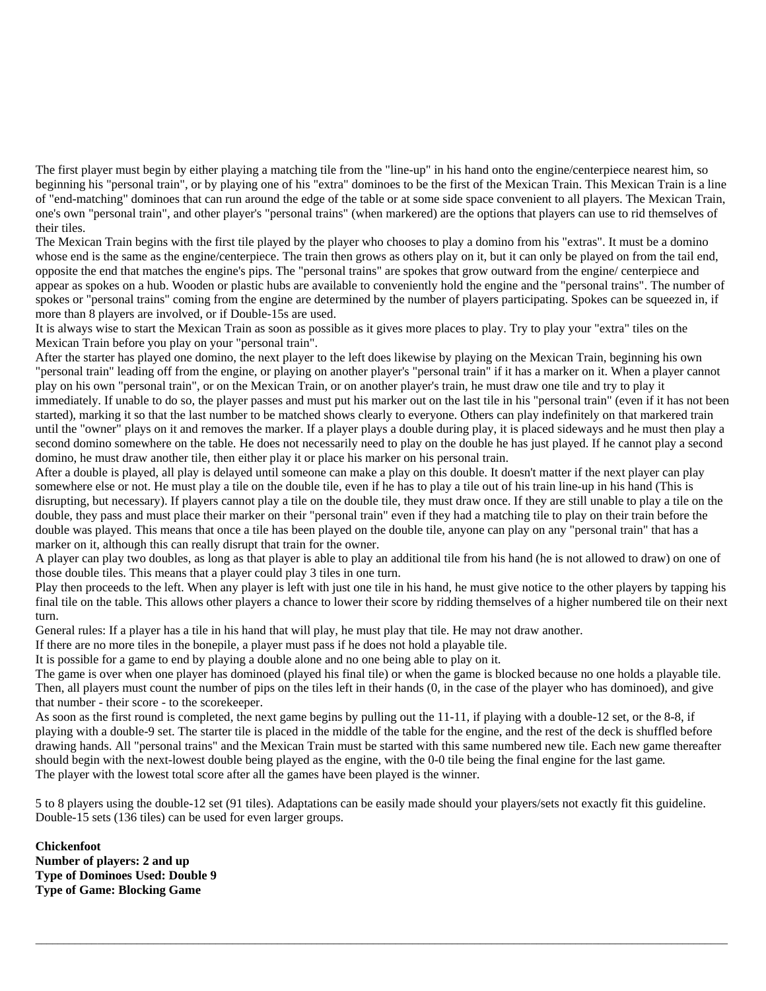The first player must begin by either playing a matching tile from the "line-up" in his hand onto the engine/centerpiece nearest him, so beginning his "personal train", or by playing one of his "extra" dominoes to be the first of the Mexican Train. This Mexican Train is a line of "end-matching" dominoes that can run around the edge of the table or at some side space convenient to all players. The Mexican Train, one's own "personal train", and other player's "personal trains" (when markered) are the options that players can use to rid themselves of their tiles.

The Mexican Train begins with the first tile played by the player who chooses to play a domino from his "extras". It must be a domino whose end is the same as the engine/centerpiece. The train then grows as others play on it, but it can only be played on from the tail end, opposite the end that matches the engine's pips. The "personal trains" are spokes that grow outward from the engine/ centerpiece and appear as spokes on a hub. Wooden or plastic hubs are available to conveniently hold the engine and the "personal trains". The number of spokes or "personal trains" coming from the engine are determined by the number of players participating. Spokes can be squeezed in, if more than 8 players are involved, or if Double-15s are used.

It is always wise to start the Mexican Train as soon as possible as it gives more places to play. Try to play your "extra" tiles on the Mexican Train before you play on your "personal train".

After the starter has played one domino, the next player to the left does likewise by playing on the Mexican Train, beginning his own "personal train" leading off from the engine, or playing on another player's "personal train" if it has a marker on it. When a player cannot play on his own "personal train", or on the Mexican Train, or on another player's train, he must draw one tile and try to play it immediately. If unable to do so, the player passes and must put his marker out on the last tile in his "personal train" (even if it has not been started), marking it so that the last number to be matched shows clearly to everyone. Others can play indefinitely on that markered train until the "owner" plays on it and removes the marker. If a player plays a double during play, it is placed sideways and he must then play a second domino somewhere on the table. He does not necessarily need to play on the double he has just played. If he cannot play a second domino, he must draw another tile, then either play it or place his marker on his personal train.

After a double is played, all play is delayed until someone can make a play on this double. It doesn't matter if the next player can play somewhere else or not. He must play a tile on the double tile, even if he has to play a tile out of his train line-up in his hand (This is disrupting, but necessary). If players cannot play a tile on the double tile, they must draw once. If they are still unable to play a tile on the double, they pass and must place their marker on their "personal train" even if they had a matching tile to play on their train before the double was played. This means that once a tile has been played on the double tile, anyone can play on any "personal train" that has a marker on it, although this can really disrupt that train for the owner.

A player can play two doubles, as long as that player is able to play an additional tile from his hand (he is not allowed to draw) on one of those double tiles. This means that a player could play 3 tiles in one turn.

Play then proceeds to the left. When any player is left with just one tile in his hand, he must give notice to the other players by tapping his final tile on the table. This allows other players a chance to lower their score by ridding themselves of a higher numbered tile on their next turn.

General rules: If a player has a tile in his hand that will play, he must play that tile. He may not draw another.

If there are no more tiles in the bonepile, a player must pass if he does not hold a playable tile.

It is possible for a game to end by playing a double alone and no one being able to play on it.

The game is over when one player has dominoed (played his final tile) or when the game is blocked because no one holds a playable tile. Then, all players must count the number of pips on the tiles left in their hands (0, in the case of the player who has dominoed), and give that number - their score - to the scorekeeper.

As soon as the first round is completed, the next game begins by pulling out the 11-11, if playing with a double-12 set, or the 8-8, if playing with a double-9 set. The starter tile is placed in the middle of the table for the engine, and the rest of the deck is shuffled before drawing hands. All "personal trains" and the Mexican Train must be started with this same numbered new tile. Each new game thereafter should begin with the next-lowest double being played as the engine, with the 0-0 tile being the final engine for the last game. The player with the lowest total score after all the games have been played is the winner.

5 to 8 players using the double-12 set (91 tiles). Adaptations can be easily made should your players/sets not exactly fit this guideline. Double-15 sets (136 tiles) can be used for even larger groups.

 $\bot$  , and the set of the set of the set of the set of the set of the set of the set of the set of the set of the set of the set of the set of the set of the set of the set of the set of the set of the set of the set of t

**Chickenfoot Number of players: 2 and up Type of Dominoes Used: Double 9 Type of Game: Blocking Game**